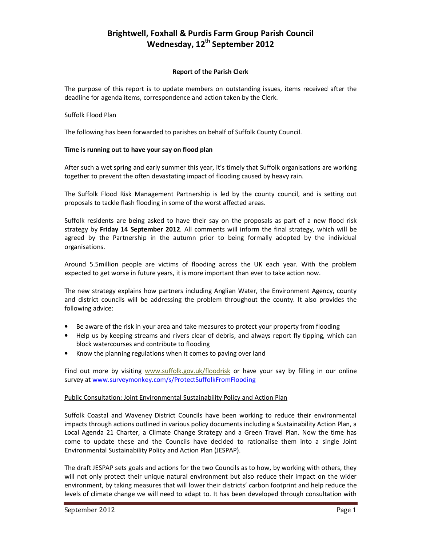# **Brightwell, Foxhall & Purdis Farm Group Parish Council Wednesday, 12th September 2012**

#### **Report of the Parish Clerk**

The purpose of this report is to update members on outstanding issues, items received after the deadline for agenda items, correspondence and action taken by the Clerk.

#### Suffolk Flood Plan

The following has been forwarded to parishes on behalf of Suffolk County Council.

## **Time is running out to have your say on flood plan**

After such a wet spring and early summer this year, it's timely that Suffolk organisations are working together to prevent the often devastating impact of flooding caused by heavy rain.

The Suffolk Flood Risk Management Partnership is led by the county council, and is setting out proposals to tackle flash flooding in some of the worst affected areas.

Suffolk residents are being asked to have their say on the proposals as part of a new flood risk strategy by **Friday 14 September 2012**. All comments will inform the final strategy, which will be agreed by the Partnership in the autumn prior to being formally adopted by the individual organisations.

Around 5.5million people are victims of flooding across the UK each year. With the problem expected to get worse in future years, it is more important than ever to take action now.

The new strategy explains how partners including Anglian Water, the Environment Agency, county and district councils will be addressing the problem throughout the county. It also provides the following advice:

- Be aware of the risk in your area and take measures to protect your property from flooding
- Help us by keeping streams and rivers clear of debris, and always report fly tipping, which can block watercourses and contribute to flooding
- Know the planning regulations when it comes to paving over land

Find out more by visiting www.suffolk.gov.uk/floodrisk or have your say by filling in our online survey at www.surveymonkey.com/s/ProtectSuffolkFromFlooding

#### Public Consultation: Joint Environmental Sustainability Policy and Action Plan

Suffolk Coastal and Waveney District Councils have been working to reduce their environmental impacts through actions outlined in various policy documents including a Sustainability Action Plan, a Local Agenda 21 Charter, a Climate Change Strategy and a Green Travel Plan. Now the time has come to update these and the Councils have decided to rationalise them into a single Joint Environmental Sustainability Policy and Action Plan (JESPAP).

The draft JESPAP sets goals and actions for the two Councils as to how, by working with others, they will not only protect their unique natural environment but also reduce their impact on the wider environment, by taking measures that will lower their districts' carbon footprint and help reduce the levels of climate change we will need to adapt to. It has been developed through consultation with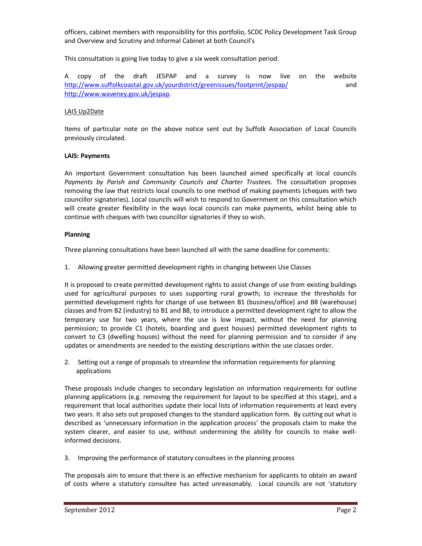officers, cabinet members with responsibility for this portfolio, SCDC Policy Development Task Group and Overview and Scrutiny and Informal Cabinet at both Council's

This consultation is going live today to give a six week consultation period.

A copy of the draft JESPAP and a survey is now live on the website http://www.suffolkcoastal.gov.uk/yourdistrict/greenissues/footprint/jespap/ and http://www.waveney.gov.uk/jespap.

## LAIS Up2Date

Items of particular note on the above notice sent out by Suffolk Association of Local Councils previously circulated.

#### **LAIS: Payments**

An important Government consultation has been launched aimed specifically at local councils *Payments by Parish and Community Councils and Charter Trustees.* The consultation proposes removing the law that restricts local councils to one method of making payments (cheques with two councillor signatories). Local councils will wish to respond to Government on this consultation which will create greater flexibility in the ways local councils can make payments, whilst being able to continue with cheques with two councillor signatories if they so wish.

## **Planning**

Three planning consultations have been launched all with the same deadline for comments:

1. Allowing greater permitted development rights in changing between Use Classes

It is proposed to create permitted development rights to assist change of use from existing buildings used for agricultural purposes to uses supporting rural growth; to increase the thresholds for permitted development rights for change of use between B1 (business/office) and B8 (warehouse) classes and from B2 (industry) to B1 and B8; to introduce a permitted development right to allow the temporary use for two years, where the use is low impact, without the need for planning permission; to provide C1 (hotels, boarding and guest houses) permitted development rights to convert to C3 (dwelling houses) without the need for planning permission and to consider if any updates or amendments are needed to the existing descriptions within the use classes order.

2. Setting out a range of proposals to streamline the information requirements for planning applications

These proposals include changes to secondary legislation on information requirements for outline planning applications (e.g. removing the requirement for layout to be specified at this stage), and a requirement that local authorities update their local lists of information requirements at least every two years. It also sets out proposed changes to the standard application form. By cutting out what is described as 'unnecessary information in the application process' the proposals claim to make the system clearer, and easier to use, without undermining the ability for councils to make wellinformed decisions.

3. Improving the performance of statutory consultees in the planning process

The proposals aim to ensure that there is an effective mechanism for applicants to obtain an award of costs where a statutory consultee has acted unreasonably. Local councils are not 'statutory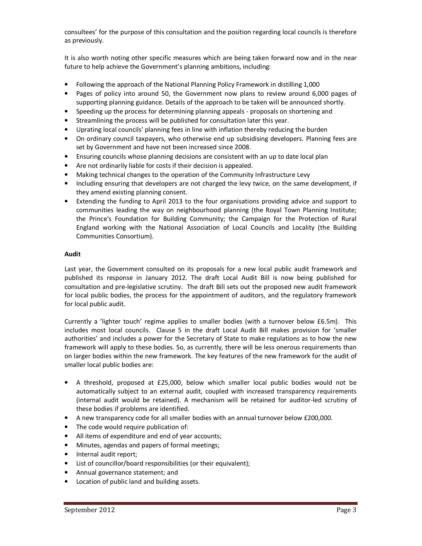consultees' for the purpose of this consultation and the position regarding local councils is therefore as previously.

It is also worth noting other specific measures which are being taken forward now and in the near future to help achieve the Government's planning ambitions, including:

- Following the approach of the National Planning Policy Framework in distilling 1,000
- Pages of policy into around 50, the Government now plans to review around 6,000 pages of supporting planning guidance. Details of the approach to be taken will be announced shortly.
- Speeding up the process for determining planning appeals proposals on shortening and
- Streamlining the process will be published for consultation later this year.
- Uprating local councils' planning fees in line with inflation thereby reducing the burden
- On ordinary council taxpayers, who otherwise end up subsidising developers. Planning fees are set by Government and have not been increased since 2008.
- Ensuring councils whose planning decisions are consistent with an up to date local plan
- Are not ordinarily liable for costs if their decision is appealed.
- Making technical changes to the operation of the Community Infrastructure Levy
- Including ensuring that developers are not charged the levy twice, on the same development, if they amend existing planning consent.
- Extending the funding to April 2013 to the four organisations providing advice and support to communities leading the way on neighbourhood planning (the Royal Town Planning Institute; the Prince's Foundation for Building Community; the Campaign for the Protection of Rural England working with the National Association of Local Councils and Locality (the Building Communities Consortium).

# **Audit**

Last year, the Government consulted on its proposals for a new local public audit framework and published its response in January 2012. The draft Local Audit Bill is now being published for consultation and pre-legislative scrutiny. The draft Bill sets out the proposed new audit framework for local public bodies, the process for the appointment of auditors, and the regulatory framework for local public audit.

Currently a 'lighter touch' regime applies to smaller bodies (with a turnover below £6.5m). This includes most local councils. Clause 5 in the draft Local Audit Bill makes provision for 'smaller authorities' and includes a power for the Secretary of State to make regulations as to how the new framework will apply to these bodies. So, as currently, there will be less onerous requirements than on larger bodies within the new framework. The key features of the new framework for the audit of smaller local public bodies are:

- A threshold, proposed at £25,000, below which smaller local public bodies would not be automatically subject to an external audit, coupled with increased transparency requirements (internal audit would be retained). A mechanism will be retained for auditor-led scrutiny of these bodies if problems are identified.
- A new transparency code for all smaller bodies with an annual turnover below £200,000.
- The code would require publication of:
- All items of expenditure and end of year accounts;
- Minutes, agendas and papers of formal meetings;
- Internal audit report;
- List of councillor/board responsibilities (or their equivalent);
- Annual governance statement; and
- Location of public land and building assets.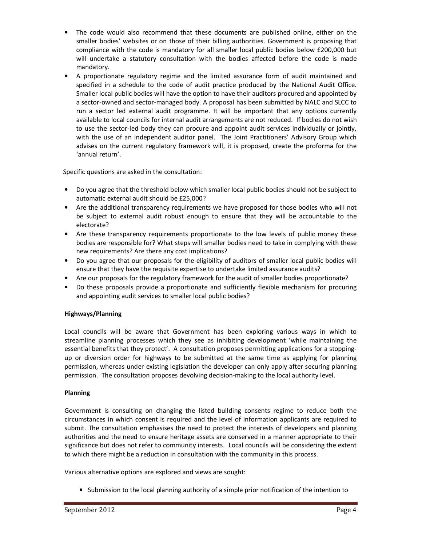- The code would also recommend that these documents are published online, either on the smaller bodies' websites or on those of their billing authorities. Government is proposing that compliance with the code is mandatory for all smaller local public bodies below £200,000 but will undertake a statutory consultation with the bodies affected before the code is made mandatory.
- A proportionate regulatory regime and the limited assurance form of audit maintained and specified in a schedule to the code of audit practice produced by the National Audit Office. Smaller local public bodies will have the option to have their auditors procured and appointed by a sector-owned and sector-managed body. A proposal has been submitted by NALC and SLCC to run a sector led external audit programme. It will be important that any options currently available to local councils for internal audit arrangements are not reduced. If bodies do not wish to use the sector-led body they can procure and appoint audit services individually or jointly, with the use of an independent auditor panel. The Joint Practitioners' Advisory Group which advises on the current regulatory framework will, it is proposed, create the proforma for the 'annual return'.

Specific questions are asked in the consultation:

- Do you agree that the threshold below which smaller local public bodies should not be subject to automatic external audit should be £25,000?
- Are the additional transparency requirements we have proposed for those bodies who will not be subject to external audit robust enough to ensure that they will be accountable to the electorate?
- Are these transparency requirements proportionate to the low levels of public money these bodies are responsible for? What steps will smaller bodies need to take in complying with these new requirements? Are there any cost implications?
- Do you agree that our proposals for the eligibility of auditors of smaller local public bodies will ensure that they have the requisite expertise to undertake limited assurance audits?
- Are our proposals for the regulatory framework for the audit of smaller bodies proportionate?
- Do these proposals provide a proportionate and sufficiently flexible mechanism for procuring and appointing audit services to smaller local public bodies?

# **Highways/Planning**

Local councils will be aware that Government has been exploring various ways in which to streamline planning processes which they see as inhibiting development 'while maintaining the essential benefits that they protect'. A consultation proposes permitting applications for a stoppingup or diversion order for highways to be submitted at the same time as applying for planning permission, whereas under existing legislation the developer can only apply after securing planning permission. The consultation proposes devolving decision-making to the local authority level.

# **Planning**

Government is consulting on changing the listed building consents regime to reduce both the circumstances in which consent is required and the level of information applicants are required to submit. The consultation emphasises the need to protect the interests of developers and planning authorities and the need to ensure heritage assets are conserved in a manner appropriate to their significance but does not refer to community interests. Local councils will be considering the extent to which there might be a reduction in consultation with the community in this process.

Various alternative options are explored and views are sought:

• Submission to the local planning authority of a simple prior notification of the intention to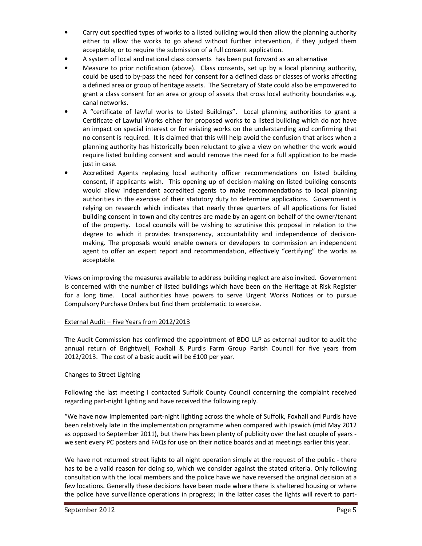- Carry out specified types of works to a listed building would then allow the planning authority either to allow the works to go ahead without further intervention, if they judged them acceptable, or to require the submission of a full consent application.
- A system of local and national class consents has been put forward as an alternative
- Measure to prior notification (above). Class consents, set up by a local planning authority, could be used to by-pass the need for consent for a defined class or classes of works affecting a defined area or group of heritage assets. The Secretary of State could also be empowered to grant a class consent for an area or group of assets that cross local authority boundaries e.g. canal networks.
- A "certificate of lawful works to Listed Buildings". Local planning authorities to grant a Certificate of Lawful Works either for proposed works to a listed building which do not have an impact on special interest or for existing works on the understanding and confirming that no consent is required. It is claimed that this will help avoid the confusion that arises when a planning authority has historically been reluctant to give a view on whether the work would require listed building consent and would remove the need for a full application to be made just in case.
- Accredited Agents replacing local authority officer recommendations on listed building consent, if applicants wish. This opening up of decision-making on listed building consents would allow independent accredited agents to make recommendations to local planning authorities in the exercise of their statutory duty to determine applications. Government is relying on research which indicates that nearly three quarters of all applications for listed building consent in town and city centres are made by an agent on behalf of the owner/tenant of the property. Local councils will be wishing to scrutinise this proposal in relation to the degree to which it provides transparency, accountability and independence of decisionmaking. The proposals would enable owners or developers to commission an independent agent to offer an expert report and recommendation, effectively "certifying" the works as acceptable.

Views on improving the measures available to address building neglect are also invited. Government is concerned with the number of listed buildings which have been on the Heritage at Risk Register for a long time. Local authorities have powers to serve Urgent Works Notices or to pursue Compulsory Purchase Orders but find them problematic to exercise.

# External Audit – Five Years from 2012/2013

The Audit Commission has confirmed the appointment of BDO LLP as external auditor to audit the annual return of Brightwell, Foxhall & Purdis Farm Group Parish Council for five years from 2012/2013. The cost of a basic audit will be £100 per year.

#### Changes to Street Lighting

Following the last meeting I contacted Suffolk County Council concerning the complaint received regarding part-night lighting and have received the following reply.

"We have now implemented part-night lighting across the whole of Suffolk, Foxhall and Purdis have been relatively late in the implementation programme when compared with Ipswich (mid May 2012 as opposed to September 2011), but there has been plenty of publicity over the last couple of years we sent every PC posters and FAQs for use on their notice boards and at meetings earlier this year.

We have not returned street lights to all night operation simply at the request of the public - there has to be a valid reason for doing so, which we consider against the stated criteria. Only following consultation with the local members and the police have we have reversed the original decision at a few locations. Generally these decisions have been made where there is sheltered housing or where the police have surveillance operations in progress; in the latter cases the lights will revert to part